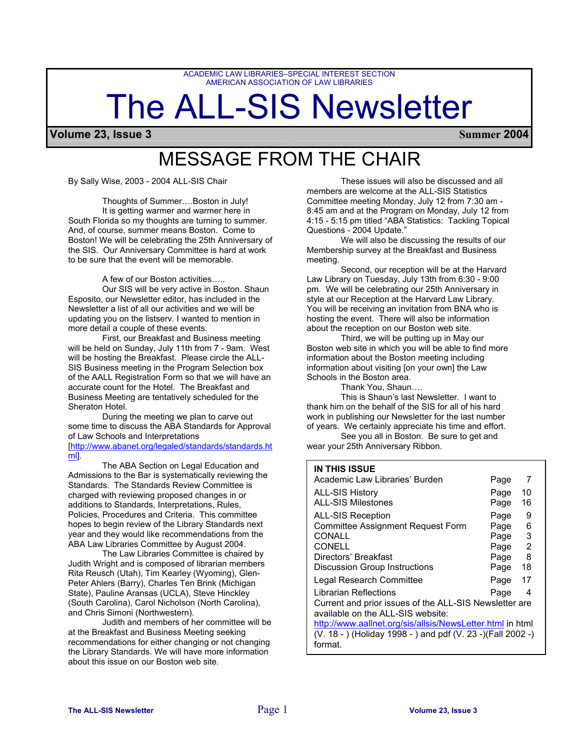ACADEMIC LAW LIBRARIES–SPECIAL INTEREST SECTION AMERICAN ASSOCIATION OF LAW LIBRARIES

# The ALL-SIS Newsletter

**Volume 23, Issue 3 Summer 2004**

# MESSAGE FROM THE CHAIR

Thoughts of Summer….Boston in July! It is getting warmer and warmer here in South Florida so my thoughts are turning to summer. And, of course, summer means Boston. Come to Boston! We will be celebrating the 25th Anniversary of the SIS. Our Anniversary Committee is hard at work to be sure that the event will be memorable.

A few of our Boston activities…..

Our SIS will be very active in Boston. Shaun Esposito, our Newsletter editor, has included in the Newsletter a list of all our activities and we will be updating you on the listserv. I wanted to mention in more detail a couple of these events.

First, our Breakfast and Business meeting will be held on Sunday, July 11th from 7 - 9am. West will be hosting the Breakfast. Please circle the ALL-SIS Business meeting in the Program Selection box of the AALL Registration Form so that we will have an accurate count for the Hotel. The Breakfast and Business Meeting are tentatively scheduled for the Sheraton Hotel.

During the meeting we plan to carve out some time to discuss the ABA Standards for Approval of Law Schools and Interpretations [[http://www.abanet.org/legaled/standards/standards.ht](http://www.abanet.org/legaled/standards/standards.html) [ml\]](http://www.abanet.org/legaled/standards/standards.html).

The ABA Section on Legal Education and Admissions to the Bar is systematically reviewing the Standards. The Standards Review Committee is charged with reviewing proposed changes in or additions to Standards, Interpretations, Rules, Policies, Procedures and Criteria. This committee hopes to begin review of the Library Standards next year and they would like recommendations from the ABA Law Libraries Committee by August 2004.

The Law Libraries Committee is chaired by Judith Wright and is composed of librarian members Rita Reusch (Utah), Tim Kearley (Wyoming), Glen-Peter Ahlers (Barry), Charles Ten Brink (Michigan State), Pauline Aransas (UCLA), Steve Hinckley (South Carolina), Carol Nicholson (North Carolina), and Chris Simoni (Northwestern).

Judith and members of her committee will be at the Breakfast and Business Meeting seeking recommendations for either changing or not changing the Library Standards. We will have more information about this issue on our Boston web site.

By Sally Wise, 2003 - 2004 ALL-SIS Chair These issues will also be discussed and all members are welcome at the ALL-SIS Statistics Committee meeting Monday, July 12 from 7:30 am - 8:45 am and at the Program on Monday, July 12 from 4:15 - 5:15 pm titled "ABA Statistics: Tackling Topical Questions - 2004 Update."

We will also be discussing the results of our Membership survey at the Breakfast and Business meeting.

Second, our reception will be at the Harvard Law Library on Tuesday, July 13th from 6:30 - 9:00 pm. We will be celebrating our 25th Anniversary in style at our Reception at the Harvard Law Library. You will be receiving an invitation from BNA who is hosting the event. There will also be information about the reception on our Boston web site.

Third, we will be putting up in May our Boston web site in which you will be able to find more information about the Boston meeting including information about visiting [on your own] the Law Schools in the Boston area.

Thank You, Shaun….

This is Shaun's last Newsletter. I want to thank him on the behalf of the SIS for all of his hard work in publishing our Newsletter for the last number of years. We certainly appreciate his time and effort.

See you all in Boston. Be sure to get and wear your 25th Anniversary Ribbon.

#### **IN THIS ISSUE**

| Academic Law Libraries' Burden                                                              | Page | 7  |  |  |
|---------------------------------------------------------------------------------------------|------|----|--|--|
| <b>ALL-SIS History</b>                                                                      | Page | 10 |  |  |
| <b>ALL-SIS Milestones</b>                                                                   | Page | 16 |  |  |
| <b>ALL-SIS Reception</b>                                                                    | Page | 9  |  |  |
| <b>Committee Assignment Request Form</b>                                                    | Page | 6  |  |  |
| CONALL                                                                                      | Page | 3  |  |  |
| <b>CONELL</b>                                                                               | Page | 2  |  |  |
| Directors' Breakfast                                                                        | Page | 8  |  |  |
| Discussion Group Instructions                                                               | Page | 18 |  |  |
| Legal Research Committee                                                                    | Page | 17 |  |  |
| Librarian Reflections                                                                       | Page | 4  |  |  |
| Current and prior issues of the ALL-SIS Newsletter are<br>available on the ALL-SIS website: |      |    |  |  |
| http://www.aallnet.org/sis/allsis/NewsLetter.html in html                                   |      |    |  |  |
| (V. 18 - ) (Holiday 1998 - ) and pdf (V. 23 -) (Fall 2002 -)                                |      |    |  |  |
| format.                                                                                     |      |    |  |  |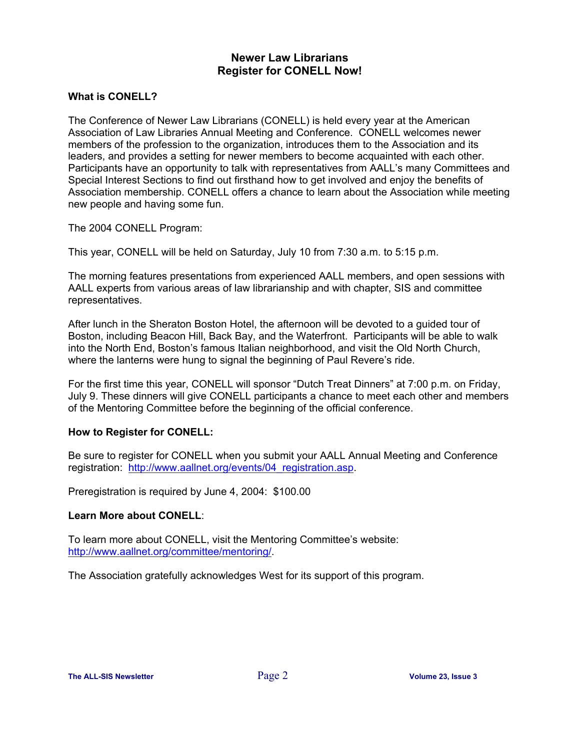# **Newer Law Librarians Register for CONELL Now!**

## **What is CONELL?**

The Conference of Newer Law Librarians (CONELL) is held every year at the American Association of Law Libraries Annual Meeting and Conference. CONELL welcomes newer members of the profession to the organization, introduces them to the Association and its leaders, and provides a setting for newer members to become acquainted with each other. Participants have an opportunity to talk with representatives from AALL's many Committees and Special Interest Sections to find out firsthand how to get involved and enjoy the benefits of Association membership. CONELL offers a chance to learn about the Association while meeting new people and having some fun.

The 2004 CONELL Program:

This year, CONELL will be held on Saturday, July 10 from 7:30 a.m. to 5:15 p.m.

The morning features presentations from experienced AALL members, and open sessions with AALL experts from various areas of law librarianship and with chapter, SIS and committee representatives.

After lunch in the Sheraton Boston Hotel, the afternoon will be devoted to a guided tour of Boston, including Beacon Hill, Back Bay, and the Waterfront. Participants will be able to walk into the North End, Boston's famous Italian neighborhood, and visit the Old North Church, where the lanterns were hung to signal the beginning of Paul Revere's ride.

For the first time this year, CONELL will sponsor "Dutch Treat Dinners" at 7:00 p.m. on Friday, July 9. These dinners will give CONELL participants a chance to meet each other and members of the Mentoring Committee before the beginning of the official conference.

# **How to Register for CONELL:**

Be sure to register for CONELL when you submit your AALL Annual Meeting and Conference registration: http://www.aallnet.org/events/04 registration.asp.

Preregistration is required by June 4, 2004: \$100.00

## **Learn More about CONELL**:

To learn more about CONELL, visit the Mentoring Committee's website: [http://www.aallnet.org/committee/mentoring/.](http://www.aallnet.org/committee/mentoring/)

The Association gratefully acknowledges West for its support of this program.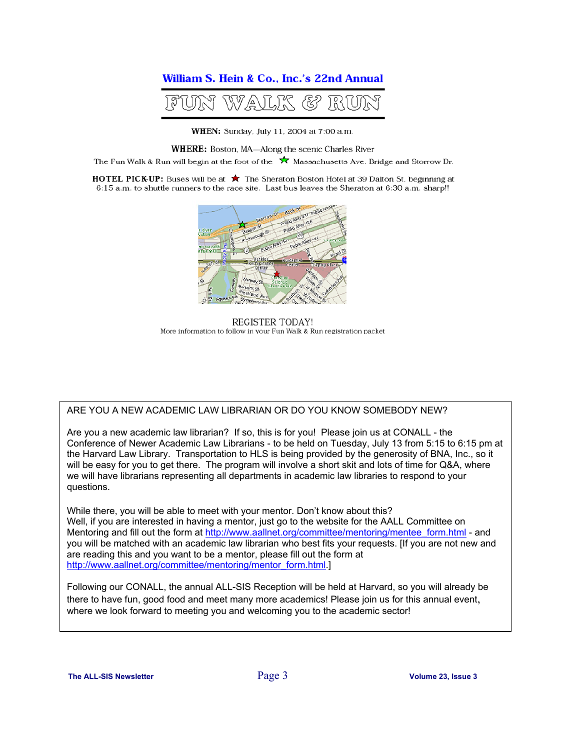# William S. Hein & Co., Inc.'s 22nd Annual



WHEN: Sunday, July 11, 2004 at 7:00 a.m.

WHERE: Boston, MA-Along the scenic Charles River

The Fun Walk & Run will begin at the foot of the  $\bigstar$  Massachusetts Ave. Bridge and Storrow Dr.

**HOTEL PICK-UP:** Buses will be at ★ The Sheraton Boston Hotel at 39 Dalton St. beginning at 6:15 a.m. to shuttle runners to the race site. Last bus leaves the Sheraton at 6:30 a.m. sharp!!



REGISTER TODAY! More information to follow in your Fun Walk & Run registration packet

#### ARE YOU A NEW ACADEMIC LAW LIBRARIAN OR DO YOU KNOW SOMEBODY NEW?

Are you a new academic law librarian? If so, this is for you! Please join us at CONALL - the Conference of Newer Academic Law Librarians - to be held on Tuesday, July 13 from 5:15 to 6:15 pm at the Harvard Law Library. Transportation to HLS is being provided by the generosity of BNA, Inc., so it will be easy for you to get there. The program will involve a short skit and lots of time for Q&A, where we will have librarians representing all departments in academic law libraries to respond to your questions.

While there, you will be able to meet with your mentor. Don't know about this? Well, if you are interested in having a [mentor, just go to the website for the AALL Committee on](http://www.aallnet.org/committee/mentoring/mentee_form.html) Mentoring and fill out the form at http://www.aallnet.org/committee/mentoring/mentee\_form.html - and you will be matched with an academic law librarian who best fits your requests. [If you are not new and [are reading this and you want to be a mentor, please fill](http://www.aallnet.org/committee/mentoring/mentor_form.html) out the form at http://www.aallnet.org/committee/mentoring/mentor\_form.html.]

Following our CONALL, the annual ALL-SIS Reception will be held at Harvard, so you will already be there to have fun, good food and meet many more academics! Please join us for thi s annual event, where we look forward to meeting you and welcoming you to the academic sector!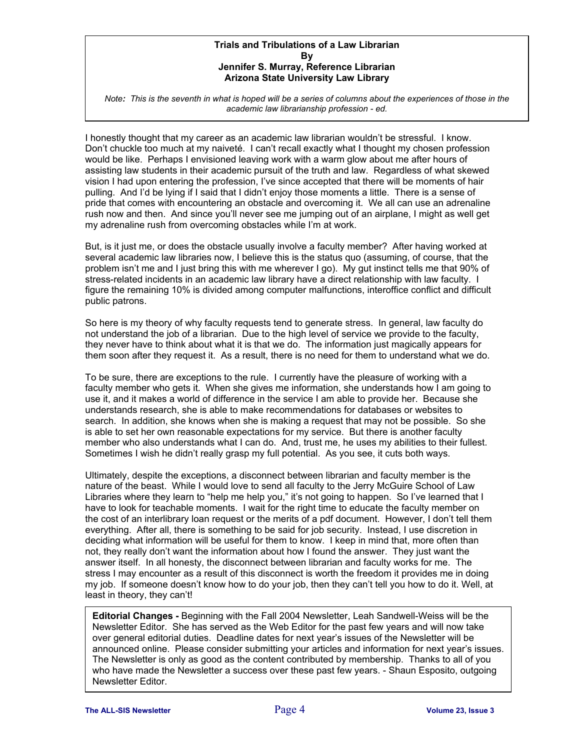#### **Trials and Tribulations of a Law Librarian By Jennifer S. Murray, Reference Librarian Arizona State University Law Library**

*Note: This is the seventh in what is hoped will be a series of columns about the experiences of those in the academic law librarianship profession - ed.*

I honestly thought that my career as an academic law librarian wouldn't be stressful. I know. Don't chuckle too much at my naiveté. I can't recall exactly what I thought my chosen profession would be like. Perhaps I envisioned leaving work with a warm glow about me after hours of assisting law students in their academic pursuit of the truth and law. Regardless of what skewed vision I had upon entering the profession, I've since accepted that there will be moments of hair pulling. And I'd be lying if I said that I didn't enjoy those moments a little. There is a sense of pride that comes with encountering an obstacle and overcoming it. We all can use an adrenaline rush now and then. And since you'll never see me jumping out of an airplane, I might as well get my adrenaline rush from overcoming obstacles while I'm at work.

But, is it just me, or does the obstacle usually involve a faculty member? After having worked at several academic law libraries now, I believe this is the status quo (assuming, of course, that the problem isn't me and I just bring this with me wherever I go). My gut instinct tells me that 90% of stress-related incidents in an academic law library have a direct relationship with law faculty. I figure the remaining 10% is divided among computer malfunctions, interoffice conflict and difficult public patrons.

So here is my theory of why faculty requests tend to generate stress. In general, law faculty do not understand the job of a librarian. Due to the high level of service we provide to the faculty, they never have to think about what it is that we do. The information just magically appears for them soon after they request it. As a result, there is no need for them to understand what we do.

To be sure, there are exceptions to the rule. I currently have the pleasure of working with a faculty member who gets it. When she gives me information, she understands how I am going to use it, and it makes a world of difference in the service I am able to provide her. Because she understands research, she is able to make recommendations for databases or websites to search. In addition, she knows when she is making a request that may not be possible. So she is able to set her own reasonable expectations for my service. But there is another faculty member who also understands what I can do. And, trust me, he uses my abilities to their fullest. Sometimes I wish he didn't really grasp my full potential. As you see, it cuts both ways.

Ultimately, despite the exceptions, a disconnect between librarian and faculty member is the nature of the beast. While I would love to send all faculty to the Jerry McGuire School of Law Libraries where they learn to "help me help you," it's not going to happen. So I've learned that I have to look for teachable moments. I wait for the right time to educate the faculty member on the cost of an interlibrary loan request or the merits of a pdf document. However, I don't tell them everything. After all, there is something to be said for job security. Instead, I use discretion in deciding what information will be useful for them to know. I keep in mind that, more often than not, they really don't want the information about how I found the answer. They just want the answer itself. In all honesty, the disconnect between librarian and faculty works for me. The stress I may encounter as a result of this disconnect is worth the freedom it provides me in doing my job. If someone doesn't know how to do your job, then they can't tell you how to do it. Well, at least in theory, they can't!

**Editorial Changes -** Beginning with the Fall 2004 Newsletter, Leah Sandwell-Weiss will be the Newsletter Editor. She has served as the Web Editor for the past few years and will now take over general editorial duties. Deadline dates for next year's issues of the Newsletter will be announced online. Please consider submitting your articles and information for next year's issues. The Newsletter is only as good as the content contributed by membership. Thanks to all of you who have made the Newsletter a success over these past few years. - Shaun Esposito, outgoing Newsletter Editor.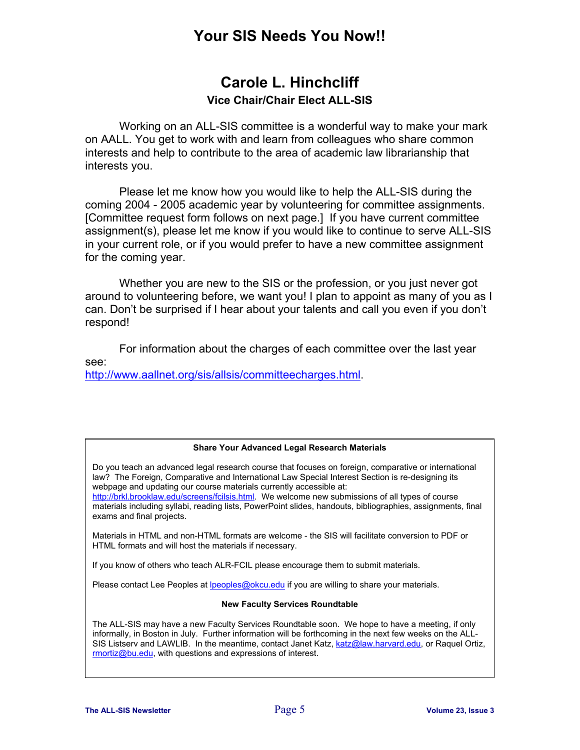# **Your SIS Needs You Now!!**

# **Carole L. Hinchcliff Vice Chair/Chair Elect ALL-SIS**

Working on an ALL-SIS committee is a wonderful way to make your mark on AALL. You get to work with and learn from colleagues who share common interests and help to contribute to the area of academic law librarianship that interests you.

Please let me know how you would like to help the ALL-SIS during the coming 2004 - 2005 academic year by volunteering for committee assignments. [Committee request form follows on next page.] If you have current committee assignment(s), please let me know if you would like to continue to serve ALL-SIS in your current role, or if you would prefer to have a new committee assignment for the coming year.

Whether you are new to the SIS or the profession, or you just never got around to volunteering before, we want you! I plan to appoint as many of you as I can. Don't be surprised if I hear about your talents and call you even if you don't respond!

For information about the charges of each committee over the last year see: [http://www.aallnet.org/sis/allsis/committeecharges.html.](http://www.aallnet.org/sis/allsis/committeecharges.html)

#### **Share Your Advanced Legal Research Materials**

Do you teach an advanced legal research course that focuses on foreign, comparative or international law? The Foreign, Comparative and International Law Special Interest Section is re-designing its webpage and updating our course materials currently accessible at:

[http://brkl.brooklaw.edu/screens/fcilsis.html.](http://brkl.brooklaw.edu/screens/fcilsis.html) We welcome new submissions of all types of course materials including syllabi, reading lists, PowerPoint slides, handouts, bibliographies, assignments, final exams and final projects.

Materials in HTML and non-HTML formats are welcome - the SIS will facilitate conversion to PDF or HTML formats and will host the materials if necessary.

If you know of others who teach ALR-FCIL please encourage them to submit materials.

Please contact Lee Peoples at [lpeoples@okcu.edu](mailto:lpeoples@okcu.edu) if you are willing to share your materials.

#### **New Faculty Services Roundtable**

The ALL-SIS may have a new Faculty Services Roundtable soon. We hope to have a meeting, if only informally, in Boston in July. Further information will be forthcoming in the next few weeks on the ALLSIS Listserv and LAWLIB. In the meantime, contact Janet Katz, [katz@law.harvard.edu](mailto:katz@law.harvard.edu), or Raquel Ortiz, [rmortiz@bu.edu,](mailto:rmortiz@bu.edu) with questions and expressions of interest.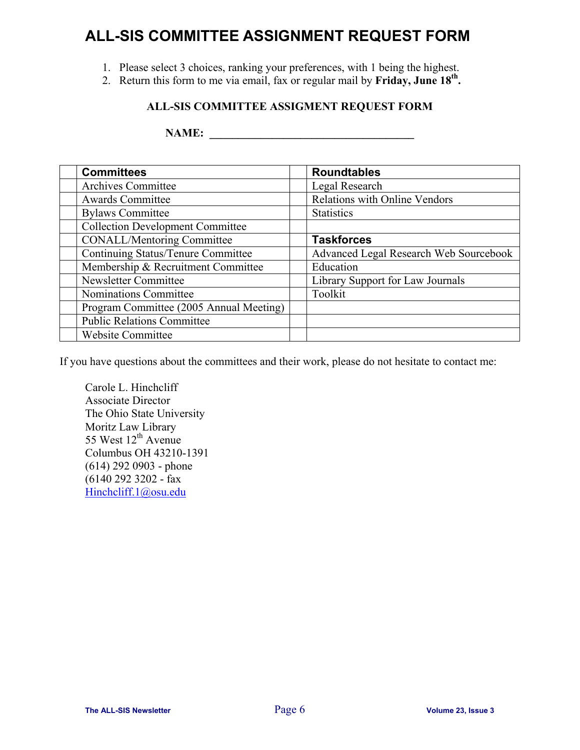# **ALL-SIS COMMITTEE ASSIGNMENT REQUEST FORM**

- 1. Please select 3 choices, ranking your preferences, with 1 being the highest.
- 2. Return this form to me via email, fax or regular mail by **Friday, June 18th.**

# **ALL-SIS COMMITTEE ASSIGMENT REQUEST FORM**

**NAME: \_\_\_\_\_\_\_\_\_\_\_\_\_\_\_\_\_\_\_\_\_\_\_\_\_\_\_\_\_\_\_\_\_\_\_\_** 

| <b>Committees</b>                       | <b>Roundtables</b>                     |
|-----------------------------------------|----------------------------------------|
| Archives Committee                      | Legal Research                         |
| <b>Awards Committee</b>                 | Relations with Online Vendors          |
| <b>Bylaws Committee</b>                 | <b>Statistics</b>                      |
| <b>Collection Development Committee</b> |                                        |
| <b>CONALL/Mentoring Committee</b>       | <b>Taskforces</b>                      |
| Continuing Status/Tenure Committee      | Advanced Legal Research Web Sourcebook |
| Membership & Recruitment Committee      | Education                              |
| Newsletter Committee                    | Library Support for Law Journals       |
| Nominations Committee                   | Toolkit                                |
| Program Committee (2005 Annual Meeting) |                                        |
| <b>Public Relations Committee</b>       |                                        |
| <b>Website Committee</b>                |                                        |

If you have questions about the committees and their work, please do not hesitate to contact me:

Carole L. Hinchcliff Associate Director The Ohio State University Moritz Law Library 55 West  $12^{th}$  Avenue Columbus OH 43210-1391 (614) 292 0903 - phone (6140 292 3202 - fax [Hinchcliff.1@osu.edu](mailto:Hinchcliff.1@osu.edu)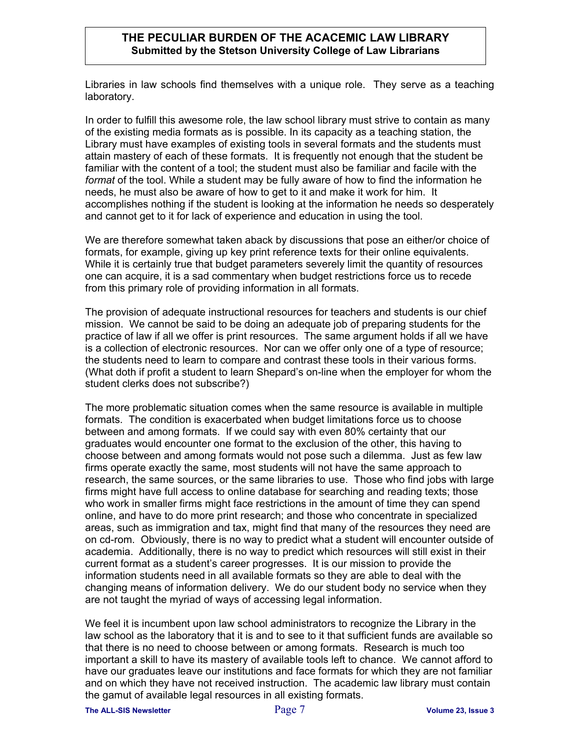## **THE PECULIAR BURDEN OF THE ACACEMIC LAW LIBRARY Submitted by the Stetson University College of Law Librarians**

Libraries in law schools find themselves with a unique role. They serve as a teaching laboratory.

In order to fulfill this awesome role, the law school library must strive to contain as many of the existing media formats as is possible. In its capacity as a teaching station, the Library must have examples of existing tools in several formats and the students must attain mastery of each of these formats. It is frequently not enough that the student be familiar with the content of a tool; the student must also be familiar and facile with the *format* of the tool. While a student may be fully aware of how to find the information he needs, he must also be aware of how to get to it and make it work for him. It accomplishes nothing if the student is looking at the information he needs so desperately and cannot get to it for lack of experience and education in using the tool.

We are therefore somewhat taken aback by discussions that pose an either/or choice of formats, for example, giving up key print reference texts for their online equivalents. While it is certainly true that budget parameters severely limit the quantity of resources one can acquire, it is a sad commentary when budget restrictions force us to recede from this primary role of providing information in all formats.

The provision of adequate instructional resources for teachers and students is our chief mission. We cannot be said to be doing an adequate job of preparing students for the practice of law if all we offer is print resources. The same argument holds if all we have is a collection of electronic resources. Nor can we offer only one of a type of resource; the students need to learn to compare and contrast these tools in their various forms. (What doth if profit a student to learn Shepard's on-line when the employer for whom the student clerks does not subscribe?)

The more problematic situation comes when the same resource is available in multiple formats. The condition is exacerbated when budget limitations force us to choose between and among formats. If we could say with even 80% certainty that our graduates would encounter one format to the exclusion of the other, this having to choose between and among formats would not pose such a dilemma. Just as few law firms operate exactly the same, most students will not have the same approach to research, the same sources, or the same libraries to use. Those who find jobs with large firms might have full access to online database for searching and reading texts; those who work in smaller firms might face restrictions in the amount of time they can spend online, and have to do more print research; and those who concentrate in specialized areas, such as immigration and tax, might find that many of the resources they need are on cd-rom. Obviously, there is no way to predict what a student will encounter outside of academia. Additionally, there is no way to predict which resources will still exist in their current format as a student's career progresses. It is our mission to provide the information students need in all available formats so they are able to deal with the changing means of information delivery. We do our student body no service when they are not taught the myriad of ways of accessing legal information.

We feel it is incumbent upon law school administrators to recognize the Library in the law school as the laboratory that it is and to see to it that sufficient funds are available so that there is no need to choose between or among formats. Research is much too important a skill to have its mastery of available tools left to chance. We cannot afford to have our graduates leave our institutions and face formats for which they are not familiar and on which they have not received instruction. The academic law library must contain the gamut of available legal resources in all existing formats.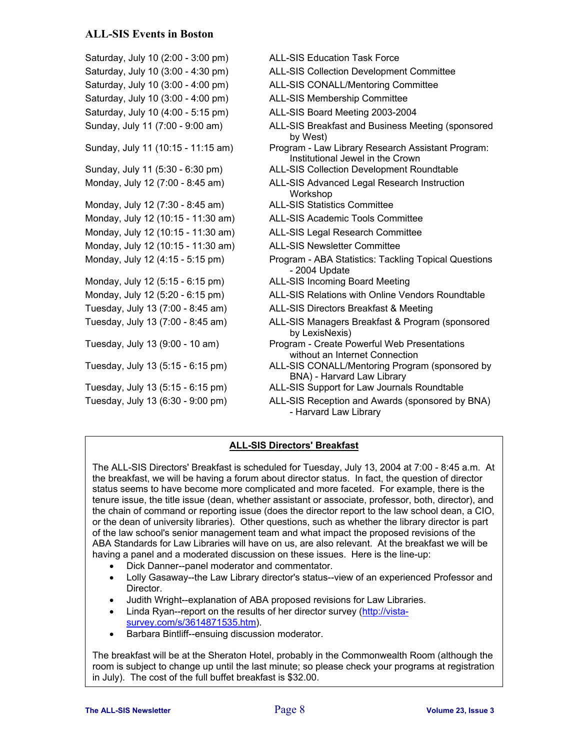## **ALL-SIS Events in Boston**

Saturday, July 10 (2:00 - 3:00 pm) ALL-SIS Education Task Force Saturday, July 10 (3:00 - 4:30 pm) ALL-SIS Collection Development Committee Saturday, July 10 (3:00 - 4:00 pm) ALL-SIS CONALL/Mentoring Committee Saturday, July 10 (3:00 - 4:00 pm) ALL-SIS Membership Committee Saturday, July 10 (4:00 - 5:15 pm) ALL-SIS Board Meeting 2003-2004 Sunday, July 11 (7:00 - 9:00 am) ALL-SIS Breakfast and Business Meeting (sponsored by West) Sunday, July 11 (10:15 - 11:15 am) Program - Law Library Research Assistant Program: Institutional Jewel in the Crown Sunday, July 11 (5:30 - 6:30 pm) ALL-SIS Collection Development Roundtable Monday, July 12 (7:00 - 8:45 am) ALL-SIS Advanced Legal Research Instruction **Workshop** Monday, July 12 (7:30 - 8:45 am) ALL-SIS Statistics Committee Monday, July 12 (10:15 - 11:30 am) ALL-SIS Academic Tools Committee Monday, July 12 (10:15 - 11:30 am) ALL-SIS Legal Research Committee Monday, July 12 (10:15 - 11:30 am) ALL-SIS Newsletter Committee Monday, July 12 (4:15 - 5:15 pm) Program - ABA Statistics: Tackling Topical Questions - 2004 Update Monday, July 12 (5:15 - 6:15 pm) ALL-SIS Incoming Board Meeting Monday, July 12 (5:20 - 6:15 pm) ALL-SIS Relations with Online Vendors Roundtable Tuesday, July 13 (7:00 - 8:45 am) ALL-SIS Directors Breakfast & Meeting Tuesday, July 13 (7:00 - 8:45 am) ALL-SIS Managers Breakfast & Program (sponsored by LexisNexis) Tuesday, July 13 (9:00 - 10 am) Program - Create Powerful Web Presentations without an Internet Connection Tuesday, July 13 (5:15 - 6:15 pm) ALL-SIS CONALL/Mentoring Program (sponsored by BNA) - Harvard Law Library Tuesday, July 13 (5:15 - 6:15 pm) ALL-SIS Support for Law Journals Roundtable Tuesday, July 13 (6:30 - 9:00 pm) ALL-SIS Reception and Awards (sponsored by BNA) - Harvard Law Library

#### **ALL-SIS Directors' Breakfast**

The ALL-SIS Directors' Breakfast is scheduled for Tuesday, July 13, 2004 at 7:00 - 8:45 a.m. At the breakfast, we will be having a forum about director status. In fact, the question of director status seems to have become more complicated and more faceted. For example, there is the tenure issue, the title issue (dean, whether assistant or associate, professor, both, director), and the chain of command or reporting issue (does the director report to the law school dean, a CIO, or the dean of university libraries). Other questions, such as whether the library director is part of the law school's senior management team and what impact the proposed revisions of the ABA Standards for Law Libraries will have on us, are also relevant. At the breakfast we will be having a panel and a moderated discussion on these issues. Here is the line-up:

- Dick Danner--panel moderator and commentator.
- Lolly Gasaway--the Law Library director's status--view of an experienced Professor and Director.
- Judith Wright--explanation of ABA proposed revisions for Law Libraries.
- Linda Ryan--report on the results of her director survey ([http://vista](http://vista-survey.com/s/3614871535.htm)[survey.com/s/3614871535.htm](http://vista-survey.com/s/3614871535.htm)).
- Barbara Bintliff--ensuing discussion moderator.

The breakfast will be at the Sheraton Hotel, probably in the Commonwealth Room (although the room is subject to change up until the last minute; so please check your programs at registration in July). The cost of the full buffet breakfast is \$32.00.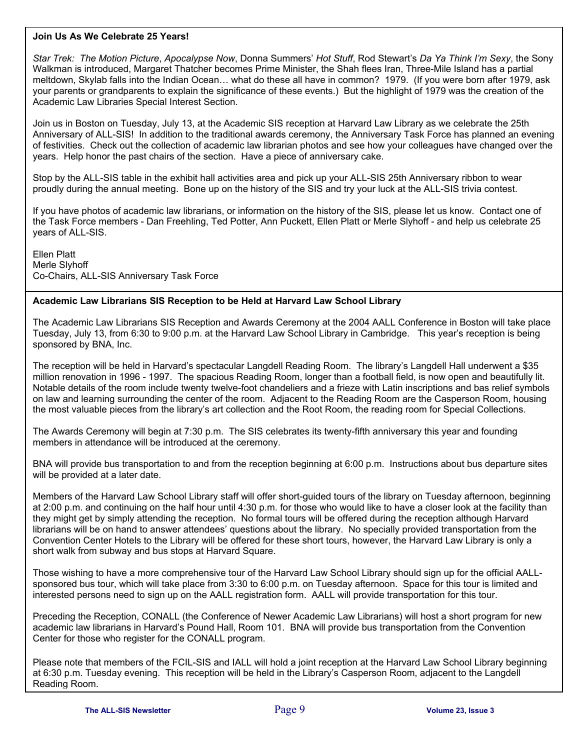#### **Join Us As We Celebrate 25 Years!**

*Star Trek: The Motion Picture*, *Apocalypse Now*, Donna Summers' *Hot Stuff*, Rod Stewart's *Da Ya Think I'm Sexy*, the Sony Walkman is introduced, Margaret Thatcher becomes Prime Minister, the Shah flees Iran, Three-Mile Island has a partial meltdown, Skylab falls into the Indian Ocean… what do these all have in common? 1979. (If you were born after 1979, ask your parents or grandparents to explain the significance of these events.) But the highlight of 1979 was the creation of the Academic Law Libraries Special Interest Section.

Join us in Boston on Tuesday, July 13, at the Academic SIS reception at Harvard Law Library as we celebrate the 25th Anniversary of ALL-SIS! In addition to the traditional awards ceremony, the Anniversary Task Force has planned an evening of festivities. Check out the collection of academic law librarian photos and see how your colleagues have changed over the years. Help honor the past chairs of the section. Have a piece of anniversary cake.

Stop by the ALL-SIS table in the exhibit hall activities area and pick up your ALL-SIS 25th Anniversary ribbon to wear proudly during the annual meeting. Bone up on the history of the SIS and try your luck at the ALL-SIS trivia contest.

If you have photos of academic law librarians, or information on the history of the SIS, please let us know. Contact one of the Task Force members - Dan Freehling, Ted Potter, Ann Puckett, Ellen Platt or Merle Slyhoff - and help us celebrate 25 years of ALL-SIS.

Ellen Platt Merle Slyhoff Co-Chairs, ALL-SIS Anniversary Task Force

#### **Academic Law Librarians SIS Reception to be Held at Harvard Law School Library**

The Academic Law Librarians SIS Reception and Awards Ceremony at the 2004 AALL Conference in Boston will take place Tuesday, July 13, from 6:30 to 9:00 p.m. at the Harvard Law School Library in Cambridge. This year's reception is being sponsored by BNA, Inc.

The reception will be held in Harvard's spectacular Langdell Reading Room. The library's Langdell Hall underwent a \$35 million renovation in 1996 - 1997. The spacious Reading Room, longer than a football field, is now open and beautifully lit. Notable details of the room include twenty twelve-foot chandeliers and a frieze with Latin inscriptions and bas relief symbols on law and learning surrounding the center of the room. Adjacent to the Reading Room are the Casperson Room, housing the most valuable pieces from the library's art collection and the Root Room, the reading room for Special Collections.

The Awards Ceremony will begin at 7:30 p.m. The SIS celebrates its twenty-fifth anniversary this year and founding members in attendance will be introduced at the ceremony.

BNA will provide bus transportation to and from the reception beginning at 6:00 p.m. Instructions about bus departure sites will be provided at a later date.

Members of the Harvard Law School Library staff will offer short-guided tours of the library on Tuesday afternoon, beginning at 2:00 p.m. and continuing on the half hour until 4:30 p.m. for those who would like to have a closer look at the facility than they might get by simply attending the reception. No formal tours will be offered during the reception although Harvard librarians will be on hand to answer attendees' questions about the library. No specially provided transportation from the Convention Center Hotels to the Library will be offered for these short tours, however, the Harvard Law Library is only a short walk from subway and bus stops at Harvard Square.

Those wishing to have a more comprehensive tour of the Harvard Law School Library should sign up for the official AALLsponsored bus tour, which will take place from 3:30 to 6:00 p.m. on Tuesday afternoon. Space for this tour is limited and interested persons need to sign up on the AALL registration form. AALL will provide transportation for this tour.

Preceding the Reception, CONALL (the Conference of Newer Academic Law Librarians) will host a short program for new academic law librarians in Harvard's Pound Hall, Room 101. BNA will provide bus transportation from the Convention Center for those who register for the CONALL program.

Please note that members of the FCIL-SIS and IALL will hold a joint reception at the Harvard Law School Library beginning at 6:30 p.m. Tuesday evening. This reception will be held in the Library's Casperson Room, adjacent to the Langdell Reading Room.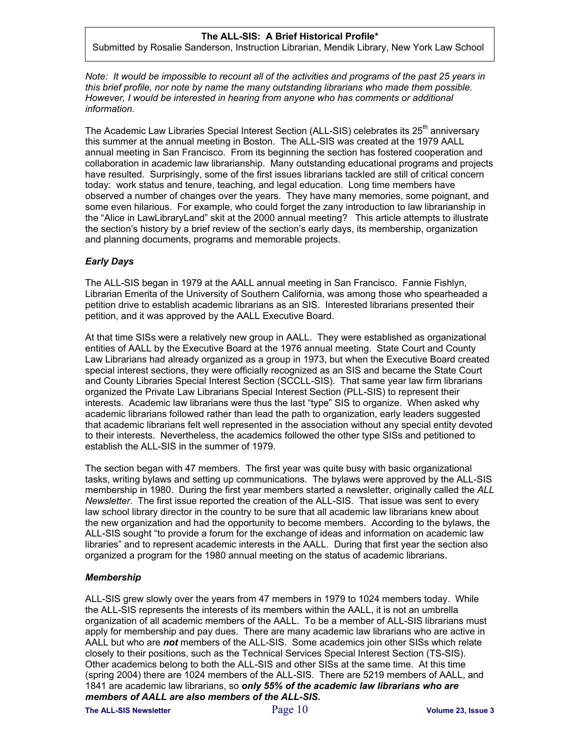#### **The ALL-SIS: A Brief Historical Profile\***

Submitted by Rosalie Sanderson, Instruction Librarian, Mendik Library, New York Law School

*Note: It would be impossible to recount all of the activities and programs of the past 25 years in this brief profile, nor note by name the many outstanding librarians who made them possible. However, I would be interested in hearing from anyone who has comments or additional information.* 

The Academic Law Libraries Special Interest Section (ALL-SIS) celebrates its  $25<sup>th</sup>$  anniversary this summer at the annual meeting in Boston. The ALL-SIS was created at the 1979 AALL annual meeting in San Francisco. From its beginning the section has fostered cooperation and collaboration in academic law librarianship. Many outstanding educational programs and projects have resulted. Surprisingly, some of the first issues librarians tackled are still of critical concern today: work status and tenure, teaching, and legal education. Long time members have observed a number of changes over the years. They have many memories, some poignant, and some even hilarious. For example, who could forget the zany introduction to law librarianship in the "Alice in LawLibraryLand" skit at the 2000 annual meeting? This article attempts to illustrate the section's history by a brief review of the section's early days, its membership, organization and planning documents, programs and memorable projects.

#### *Early Days*

The ALL-SIS began in 1979 at the AALL annual meeting in San Francisco. Fannie Fishlyn, Librarian Emerita of the University of Southern California, was among those who spearheaded a petition drive to establish academic librarians as an SIS. Interested librarians presented their petition, and it was approved by the AALL Executive Board.

At that time SISs were a relatively new group in AALL. They were established as organizational entities of AALL by the Executive Board at the 1976 annual meeting. State Court and County Law Librarians had already organized as a group in 1973, but when the Executive Board created special interest sections, they were officially recognized as an SIS and became the State Court and County Libraries Special Interest Section (SCCLL-SIS). That same year law firm librarians organized the Private Law Librarians Special Interest Section (PLL-SIS) to represent their interests. Academic law librarians were thus the last "type" SIS to organize. When asked why academic librarians followed rather than lead the path to organization, early leaders suggested that academic librarians felt well represented in the association without any special entity devoted to their interests. Nevertheless, the academics followed the other type SISs and petitioned to establish the ALL-SIS in the summer of 1979.

The section began with 47 members. The first year was quite busy with basic organizational tasks, writing bylaws and setting up communications. The bylaws were approved by the ALL-SIS membership in 1980. During the first year members started a newsletter, originally called the *ALL Newsletter*. The first issue reported the creation of the ALL-SIS. That issue was sent to every law school library director in the country to be sure that all academic law librarians knew about the new organization and had the opportunity to become members. According to the bylaws, the ALL-SIS sought "to provide a forum for the exchange of ideas and information on academic law libraries" and to represent academic interests in the AALL. During that first year the section also organized a program for the 1980 annual meeting on the status of academic librarians.

#### *Membership*

ALL-SIS grew slowly over the years from 47 members in 1979 to 1024 members today. While the ALL-SIS represents the interests of its members within the AALL, it is not an umbrella organization of all academic members of the AALL. To be a member of ALL-SIS librarians must apply for membership and pay dues. There are many academic law librarians who are active in AALL but who are *not* members of the ALL-SIS. Some academics join other SISs which relate closely to their positions, such as the Technical Services Special Interest Section (TS-SIS). Other academics belong to both the ALL-SIS and other SISs at the same time. At this time (spring 2004) there are 1024 members of the ALL-SIS. There are 5219 members of AALL, and 1841 are academic law librarians, so *only 55% of the academic law librarians who are members of AALL are also members of the ALL-SIS.* 

**The ALL-SIS Newsletter** Page 10 **Volume 23, Issue 3**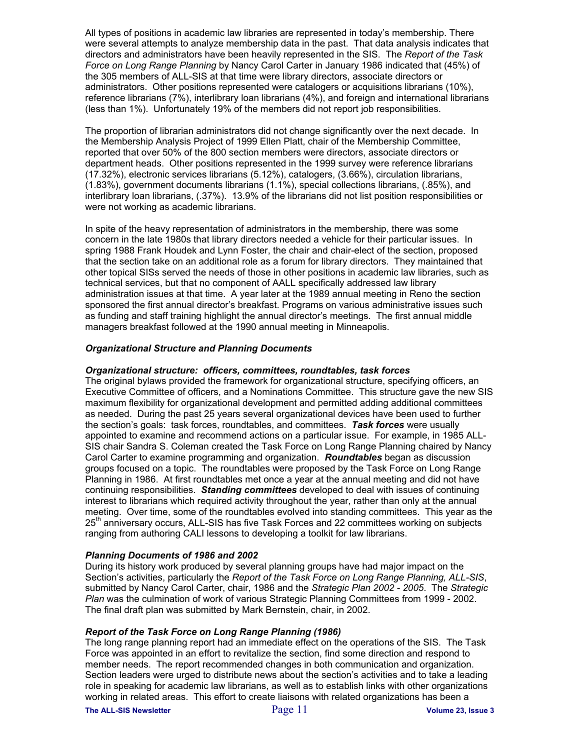All types of positions in academic law libraries are represented in today's membership. There were several attempts to analyze membership data in the past. That data analysis indicates that directors and administrators have been heavily represented in the SIS. The *Report of the Task Force on Long Range Planning* by Nancy Carol Carter in January 1986 indicated that (45%) of the 305 members of ALL-SIS at that time were library directors, associate directors or administrators. Other positions represented were catalogers or acquisitions librarians (10%), reference librarians (7%), interlibrary loan librarians (4%), and foreign and international librarians (less than 1%). Unfortunately 19% of the members did not report job responsibilities.

The proportion of librarian administrators did not change significantly over the next decade. In the Membership Analysis Project of 1999 Ellen Platt, chair of the Membership Committee, reported that over 50% of the 800 section members were directors, associate directors or department heads. Other positions represented in the 1999 survey were reference librarians (17.32%), electronic services librarians (5.12%), catalogers, (3.66%), circulation librarians, (1.83%), government documents librarians (1.1%), special collections librarians, (.85%), and interlibrary loan librarians, (.37%). 13.9% of the librarians did not list position responsibilities or were not working as academic librarians.

In spite of the heavy representation of administrators in the membership, there was some concern in the late 1980s that library directors needed a vehicle for their particular issues. In spring 1988 Frank Houdek and Lynn Foster, the chair and chair-elect of the section, proposed that the section take on an additional role as a forum for library directors. They maintained that other topical SISs served the needs of those in other positions in academic law libraries, such as technical services, but that no component of AALL specifically addressed law library administration issues at that time. A year later at the 1989 annual meeting in Reno the section sponsored the first annual director's breakfast. Programs on various administrative issues such as funding and staff training highlight the annual director's meetings. The first annual middle managers breakfast followed at the 1990 annual meeting in Minneapolis.

#### *Organizational Structure and Planning Documents*

#### *Organizational structure: officers, committees, roundtables, task forces*

The original bylaws provided the framework for organizational structure, specifying officers, an Executive Committee of officers, and a Nominations Committee. This structure gave the new SIS maximum flexibility for organizational development and permitted adding additional committees as needed. During the past 25 years several organizational devices have been used to further the section's goals: task forces, roundtables, and committees. *Task forces* were usually appointed to examine and recommend actions on a particular issue. For example, in 1985 ALL-SIS chair Sandra S. Coleman created the Task Force on Long Range Planning chaired by Nancy Carol Carter to examine programming and organization. *Roundtables* began as discussion groups focused on a topic. The roundtables were proposed by the Task Force on Long Range Planning in 1986. At first roundtables met once a year at the annual meeting and did not have continuing responsibilities. *Standing committees* developed to deal with issues of continuing interest to librarians which required activity throughout the year, rather than only at the annual meeting. Over time, some of the roundtables evolved into standing committees. This year as the  $25<sup>tn</sup>$  anniversary occurs, ALL-SIS has five Task Forces and 22 committees working on subjects ranging from authoring CALI lessons to developing a toolkit for law librarians.

#### *Planning Documents of 1986 and 2002*

During its history work produced by several planning groups have had major impact on the Section's activities, particularly the *Report of the Task Force on Long Range Planning, ALL-SIS*, submitted by Nancy Carol Carter, chair, 1986 and the *Strategic Plan 2002 - 2005*. The *Strategic Plan* was the culmination of work of various Strategic Planning Committees from 1999 - 2002. The final draft plan was submitted by Mark Bernstein, chair, in 2002.

#### *Report of the Task Force on Long Range Planning (1986)*

The long range planning report had an immediate effect on the operations of the SIS. The Task Force was appointed in an effort to revitalize the section, find some direction and respond to member needs. The report recommended changes in both communication and organization. Section leaders were urged to distribute news about the section's activities and to take a leading role in speaking for academic law librarians, as well as to establish links with other organizations working in related areas. This effort to create liaisons with related organizations has been a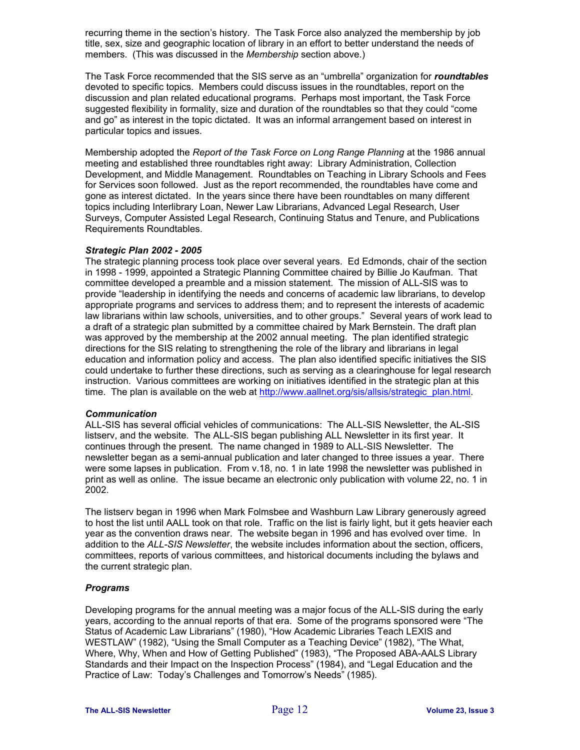recurring theme in the section's history. The Task Force also analyzed the membership by job title, sex, size and geographic location of library in an effort to better understand the needs of members. (This was discussed in the *Membership* section above.)

The Task Force recommended that the SIS serve as an "umbrella" organization for *roundtables* devoted to specific topics. Members could discuss issues in the roundtables, report on the discussion and plan related educational programs. Perhaps most important, the Task Force suggested flexibility in formality, size and duration of the roundtables so that they could "come and go" as interest in the topic dictated. It was an informal arrangement based on interest in particular topics and issues.

Membership adopted the *Report of the Task Force on Long Range Planning* at the 1986 annual meeting and established three roundtables right away: Library Administration, Collection Development, and Middle Management. Roundtables on Teaching in Library Schools and Fees for Services soon followed. Just as the report recommended, the roundtables have come and gone as interest dictated. In the years since there have been roundtables on many different topics including Interlibrary Loan, Newer Law Librarians, Advanced Legal Research, User Surveys, Computer Assisted Legal Research, Continuing Status and Tenure, and Publications Requirements Roundtables.

#### *Strategic Plan 2002 - 2005*

The strategic planning process took place over several years. Ed Edmonds, chair of the section in 1998 - 1999, appointed a Strategic Planning Committee chaired by Billie Jo Kaufman. That committee developed a preamble and a mission statement. The mission of ALL-SIS was to provide "leadership in identifying the needs and concerns of academic law librarians, to develop appropriate programs and services to address them; and to represent the interests of academic law librarians within law schools, universities, and to other groups." Several years of work lead to a draft of a strategic plan submitted by a committee chaired by Mark Bernstein. The draft plan was approved by the membership at the 2002 annual meeting. The plan identified strategic directions for the SIS relating to strengthening the role of the library and librarians in legal education and information policy and access. The plan also identified specific initiatives the SIS could undertake to further these directions, such as serving as a clearinghouse for legal research instruction. Various committees are working on initiatives identified in the strategic plan at this time. The plan is available on the web at [http://www.aallnet.org/sis/allsis/strategic\\_plan.html.](http://www.aallnet.org/sis/allsis/strategic_plan.html)

#### *Communication*

ALL-SIS has several official vehicles of communications: The ALL-SIS Newsletter, the AL-SIS listserv, and the website. The ALL-SIS began publishing ALL Newsletter in its first year. It continues through the present. The name changed in 1989 to ALL-SIS Newsletter. The newsletter began as a semi-annual publication and later changed to three issues a year. There were some lapses in publication. From v.18, no. 1 in late 1998 the newsletter was published in print as well as online. The issue became an electronic only publication with volume 22, no. 1 in 2002.

The listserv began in 1996 when Mark Folmsbee and Washburn Law Library generously agreed to host the list until AALL took on that role. Traffic on the list is fairly light, but it gets heavier each year as the convention draws near. The website began in 1996 and has evolved over time. In addition to the *ALL-SIS Newsletter*, the website includes information about the section, officers, committees, reports of various committees, and historical documents including the bylaws and the current strategic plan.

#### *Programs*

Developing programs for the annual meeting was a major focus of the ALL-SIS during the early years, according to the annual reports of that era. Some of the programs sponsored were "The Status of Academic Law Librarians" (1980), "How Academic Libraries Teach LEXIS and WESTLAW" (1982), "Using the Small Computer as a Teaching Device" (1982), "The What, Where, Why, When and How of Getting Published" (1983), "The Proposed ABA-AALS Library Standards and their Impact on the Inspection Process" (1984), and "Legal Education and the Practice of Law: Today's Challenges and Tomorrow's Needs" (1985).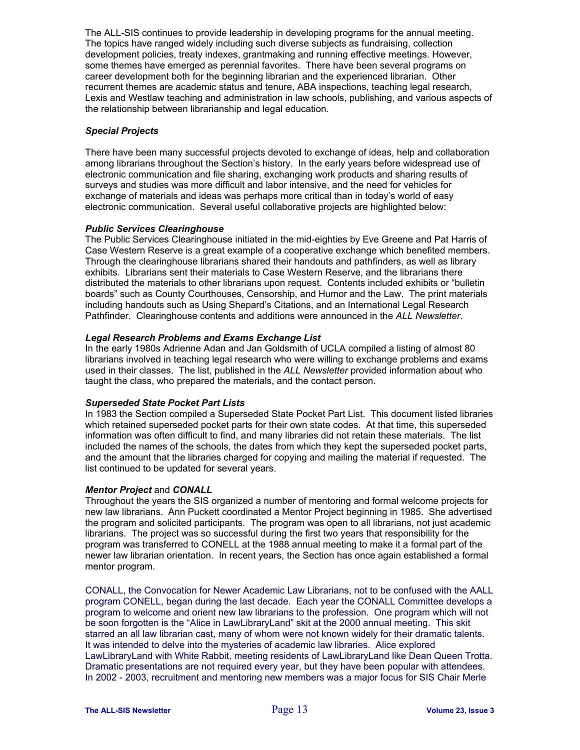The ALL-SIS continues to provide leadership in developing programs for the annual meeting. The topics have ranged widely including such diverse subjects as fundraising, collection development policies, treaty indexes, grantmaking and running effective meetings. However, some themes have emerged as perennial favorites. There have been several programs on career development both for the beginning librarian and the experienced librarian. Other recurrent themes are academic status and tenure, ABA inspections, teaching legal research, Lexis and Westlaw teaching and administration in law schools, publishing, and various aspects of the relationship between librarianship and legal education.

#### *Special Projects*

There have been many successful projects devoted to exchange of ideas, help and collaboration among librarians throughout the Section's history. In the early years before widespread use of electronic communication and file sharing, exchanging work products and sharing results of surveys and studies was more difficult and labor intensive, and the need for vehicles for exchange of materials and ideas was perhaps more critical than in today's world of easy electronic communication. Several useful collaborative projects are highlighted below:

#### *Public Services Clearinghouse*

The Public Services Clearinghouse initiated in the mid-eighties by Eve Greene and Pat Harris of Case Western Reserve is a great example of a cooperative exchange which benefited members. Through the clearinghouse librarians shared their handouts and pathfinders, as well as library exhibits. Librarians sent their materials to Case Western Reserve, and the librarians there distributed the materials to other librarians upon request. Contents included exhibits or "bulletin boards" such as County Courthouses, Censorship, and Humor and the Law. The print materials including handouts such as Using Shepard's Citations, and an International Legal Research Pathfinder. Clearinghouse contents and additions were announced in the *ALL Newsletter*.

#### *Legal Research Problems and Exams Exchange List*

In the early 1980s Adrienne Adan and Jan Goldsmith of UCLA compiled a listing of almost 80 librarians involved in teaching legal research who were willing to exchange problems and exams used in their classes. The list, published in the *ALL Newsletter* provided information about who taught the class, who prepared the materials, and the contact person.

#### *Superseded State Pocket Part Lists*

In 1983 the Section compiled a Superseded State Pocket Part List. This document listed libraries which retained superseded pocket parts for their own state codes. At that time, this superseded information was often difficult to find, and many libraries did not retain these materials. The list included the names of the schools, the dates from which they kept the superseded pocket parts, and the amount that the libraries charged for copying and mailing the material if requested. The list continued to be updated for several years.

#### *Mentor Project* and *CONALL*

Throughout the years the SIS organized a number of mentoring and formal welcome projects for new law librarians. Ann Puckett coordinated a Mentor Project beginning in 1985. She advertised the program and solicited participants. The program was open to all librarians, not just academic librarians. The project was so successful during the first two years that responsibility for the program was transferred to CONELL at the 1988 annual meeting to make it a formal part of the newer law librarian orientation. In recent years, the Section has once again established a formal mentor program.

CONALL, the Convocation for Newer Academic Law Librarians, not to be confused with the AALL program CONELL, began during the last decade. Each year the CONALL Committee develops a program to welcome and orient new law librarians to the profession. One program which will not be soon forgotten is the "Alice in LawLibraryLand" skit at the 2000 annual meeting. This skit starred an all law librarian cast, many of whom were not known widely for their dramatic talents. It was intended to delve into the mysteries of academic law libraries. Alice explored LawLibraryLand with White Rabbit, meeting residents of LawLibraryLand like Dean Queen Trotta. Dramatic presentations are not required every year, but they have been popular with attendees. In 2002 - 2003, recruitment and mentoring new members was a major focus for SIS Chair Merle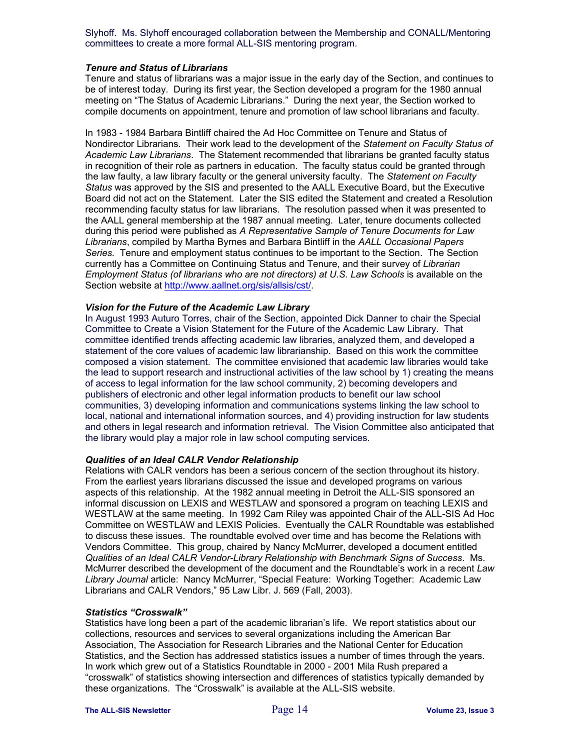Slyhoff. Ms. Slyhoff encouraged collaboration between the Membership and CONALL/Mentoring committees to create a more formal ALL-SIS mentoring program.

#### *Tenure and Status of Librarians*

Tenure and status of librarians was a major issue in the early day of the Section, and continues to be of interest today. During its first year, the Section developed a program for the 1980 annual meeting on "The Status of Academic Librarians." During the next year, the Section worked to compile documents on appointment, tenure and promotion of law school librarians and faculty.

In 1983 - 1984 Barbara Bintliff chaired the Ad Hoc Committee on Tenure and Status of Nondirector Librarians. Their work lead to the development of the *Statement on Faculty Status of Academic Law Librarians*. The Statement recommended that librarians be granted faculty status in recognition of their role as partners in education. The faculty status could be granted through the law faulty, a law library faculty or the general university faculty. The *Statement on Faculty Status* was approved by the SIS and presented to the AALL Executive Board, but the Executive Board did not act on the Statement. Later the SIS edited the Statement and created a Resolution recommending faculty status for law librarians. The resolution passed when it was presented to the AALL general membership at the 1987 annual meeting. Later, tenure documents collected during this period were published as *A Representative Sample of Tenure Documents for Law Librarians*, compiled by Martha Byrnes and Barbara Bintliff in the *AALL Occasional Papers Series.* Tenure and employment status continues to be important to the Section. The Section currently has a Committee on Continuing Status and Tenure, and their survey of *Librarian Employment Status (of librarians who are not directors) at U.S. Law Schools* is available on the Section website at <http://www.aallnet.org/sis/allsis/cst/>.

#### *Vision for the Future of the Academic Law Library*

In August 1993 Auturo Torres, chair of the Section, appointed Dick Danner to chair the Special Committee to Create a Vision Statement for the Future of the Academic Law Library. That committee identified trends affecting academic law libraries, analyzed them, and developed a statement of the core values of academic law librarianship. Based on this work the committee composed a vision statement. The committee envisioned that academic law libraries would take the lead to support research and instructional activities of the law school by 1) creating the means of access to legal information for the law school community, 2) becoming developers and publishers of electronic and other legal information products to benefit our law school communities, 3) developing information and communications systems linking the law school to local, national and international information sources, and 4) providing instruction for law students and others in legal research and information retrieval. The Vision Committee also anticipated that the library would play a major role in law school computing services.

#### *Qualities of an Ideal CALR Vendor Relationship*

Relations with CALR vendors has been a serious concern of the section throughout its history. From the earliest years librarians discussed the issue and developed programs on various aspects of this relationship. At the 1982 annual meeting in Detroit the ALL-SIS sponsored an informal discussion on LEXIS and WESTLAW and sponsored a program on teaching LEXIS and WESTLAW at the same meeting. In 1992 Cam Riley was appointed Chair of the ALL-SIS Ad Hoc Committee on WESTLAW and LEXIS Policies. Eventually the CALR Roundtable was established to discuss these issues. The roundtable evolved over time and has become the Relations with Vendors Committee. This group, chaired by Nancy McMurrer, developed a document entitled *Qualities of an Ideal CALR Vendor-Library Relationship with Benchmark Signs of Success*. Ms. McMurrer described the development of the document and the Roundtable's work in a recent *Law Library Journal* article: Nancy McMurrer, "Special Feature: Working Together: Academic Law Librarians and CALR Vendors," 95 Law Libr. J. 569 (Fall, 2003).

#### *Statistics "Crosswalk"*

Statistics have long been a part of the academic librarian's life. We report statistics about our collections, resources and services to several organizations including the American Bar Association, The Association for Research Libraries and the National Center for Education Statistics, and the Section has addressed statistics issues a number of times through the years. In work which grew out of a Statistics Roundtable in 2000 - 2001 Mila Rush prepared a "crosswalk" of statistics showing intersection and differences of statistics typically demanded by these organizations. The "Crosswalk" is available at the ALL-SIS website.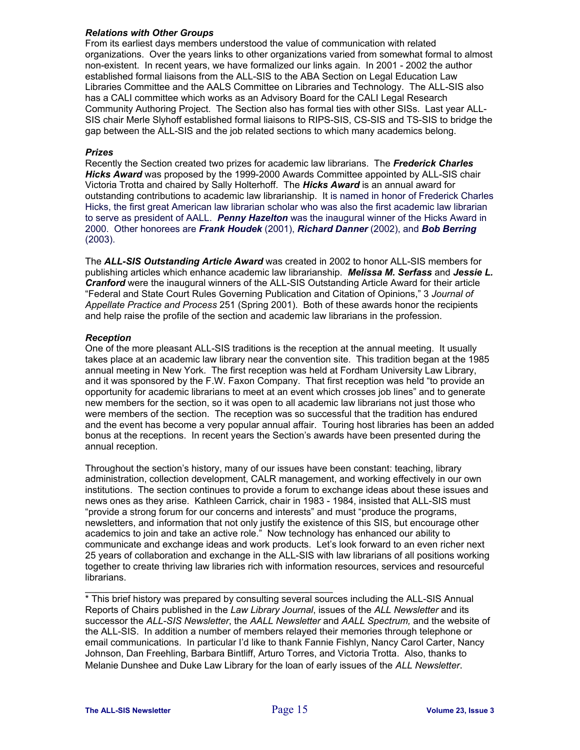#### *Relations with Other Groups*

From its earliest days members understood the value of communication with related organizations. Over the years links to other organizations varied from somewhat formal to almost non-existent. In recent years, we have formalized our links again. In 2001 - 2002 the author established formal liaisons from the ALL-SIS to the ABA Section on Legal Education Law Libraries Committee and the AALS Committee on Libraries and Technology. The ALL-SIS also has a CALI committee which works as an Advisory Board for the CALI Legal Research Community Authoring Project. The Section also has formal ties with other SISs. Last year ALL-SIS chair Merle Slyhoff established formal liaisons to RIPS-SIS, CS-SIS and TS-SIS to bridge the gap between the ALL-SIS and the job related sections to which many academics belong.

#### *Prizes*

Recently the Section created two prizes for academic law librarians. The *Frederick Charles Hicks Award* was proposed by the 1999-2000 Awards Committee appointed by ALL-SIS chair Victoria Trotta and chaired by Sally Holterhoff. The *Hicks Award* is an annual award for outstanding contributions to academic law librarianship. It is named in honor of Frederick Charles Hicks, the first great American law librarian scholar who was also the first academic law librarian to serve as president of AALL. *Penny Hazelton* was the inaugural winner of the Hicks Award in 2000. Other honorees are *Frank Houdek* (2001), *Richard Danner* (2002), and *Bob Berring* (2003).

The *ALL-SIS Outstanding Article Award* was created in 2002 to honor ALL-SIS members for publishing articles which enhance academic law librarianship. *Melissa M. Serfass* and *Jessie L. Cranford* were the inaugural winners of the ALL-SIS Outstanding Article Award for their article "Federal and State Court Rules Governing Publication and Citation of Opinions," 3 *Journal of Appellate Practice and Process* 251 (Spring 2001). Both of these awards honor the recipients and help raise the profile of the section and academic law librarians in the profession.

#### *Reception*

One of the more pleasant ALL-SIS traditions is the reception at the annual meeting. It usually takes place at an academic law library near the convention site. This tradition began at the 1985 annual meeting in New York. The first reception was held at Fordham University Law Library, and it was sponsored by the F.W. Faxon Company. That first reception was held "to provide an opportunity for academic librarians to meet at an event which crosses job lines" and to generate new members for the section, so it was open to all academic law librarians not just those who were members of the section. The reception was so successful that the tradition has endured and the event has become a very popular annual affair. Touring host libraries has been an added bonus at the receptions. In recent years the Section's awards have been presented during the annual reception.

Throughout the section's history, many of our issues have been constant: teaching, library administration, collection development, CALR management, and working effectively in our own institutions. The section continues to provide a forum to exchange ideas about these issues and news ones as they arise. Kathleen Carrick, chair in 1983 - 1984, insisted that ALL-SIS must "provide a strong forum for our concerns and interests" and must "produce the programs, newsletters, and information that not only justify the existence of this SIS, but encourage other academics to join and take an active role." Now technology has enhanced our ability to communicate and exchange ideas and work products. Let's look forward to an even richer next 25 years of collaboration and exchange in the ALL-SIS with law librarians of all positions working together to create thriving law libraries rich with information resources, services and resourceful librarians.

\* This brief history was prepared by consulting several sources including the ALL-SIS Annual Reports of Chairs published in the *Law Library Journal*, issues of the *ALL Newsletter* and its successor the *ALL-SIS Newsletter*, the *AALL Newsletter* and *AALL Spectrum,* and the website of the ALL-SIS. In addition a number of members relayed their memories through telephone or email communications. In particular I'd like to thank Fannie Fishlyn, Nancy Carol Carter, Nancy Johnson, Dan Freehling, Barbara Bintliff, Arturo Torres, and Victoria Trotta. Also, thanks to Melanie Dunshee and Duke Law Library for the loan of early issues of the *ALL Newsletter*.

\_\_\_\_\_\_\_\_\_\_\_\_\_\_\_\_\_\_\_\_\_\_\_\_\_\_\_\_\_\_\_\_\_\_\_\_\_\_\_\_\_\_\_\_\_\_\_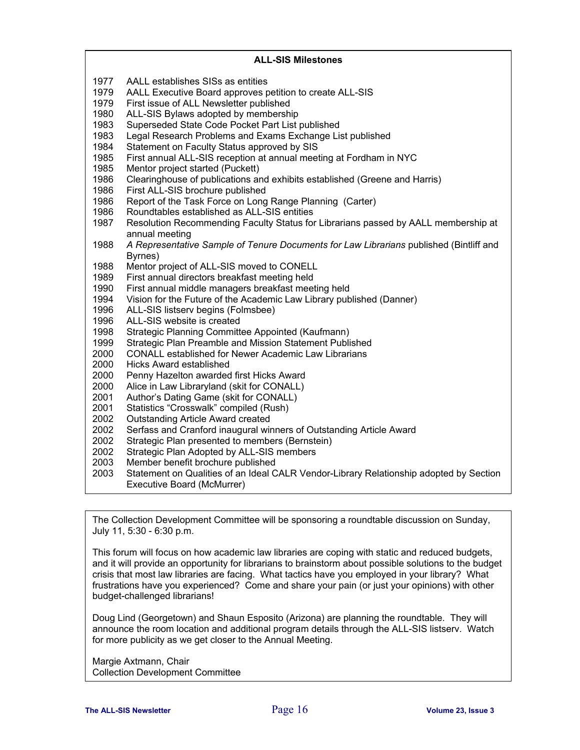#### The Collection Development Committee will be sponsoring a roundtable discussion on Sunday, **ALL-SIS Milestones**  1977 AALL establishes SISs as entities 1979 AALL Executive Board approves petition to create ALL-SIS 1979 First issue of ALL Newsletter published 1980 ALL-SIS Bylaws adopted by membership 1983 Superseded State Code Pocket Part List published 1983 Legal Research Problems and Exams Exchange List published<br>1984 Statement on Faculty Status approved by SIS Statement on Faculty Status approved by SIS 1985 First annual ALL-SIS reception at annual meeting at Fordham in NYC 1985 Mentor project started (Puckett) 1986 Clearinghouse of publications and exhibits established (Greene and Harris) 1986 First ALL-SIS brochure published<br>1986 Report of the Task Force on Long Report of the Task Force on Long Range Planning (Carter) 1986 Roundtables established as ALL-SIS entities 1987 Resolution Recommending Faculty Status for Librarians passed by AALL membership at annual meeting 1988 *A Representative Sample of Tenure Documents for Law Librarians* published (Bintliff and Byrnes) 1988 Mentor project of ALL-SIS moved to CONELL 1989 First annual directors breakfast meeting held 1990 First annual middle managers breakfast meeting held<br>1994 Vision for the Future of the Academic Law Library pub Vision for the Future of the Academic Law Library published (Danner) 1996 ALL-SIS listserv begins (Folmsbee) 1996 ALL-SIS website is created 1998 Strategic Planning Committee Appointed (Kaufmann) 1999 Strategic Plan Preamble and Mission Statement Published 2000 CONALL established for Newer Academic Law Librarians<br>2000 Hicks Award established **Hicks Award established** 2000 Penny Hazelton awarded first Hicks Award<br>2000 Alice in Law Libraryland (skit for CONALL) Alice in Law Libraryland (skit for CONALL) 2001 Author's Dating Game (skit for CONALL) 2001 Statistics "Crosswalk" compiled (Rush) 2002 Outstanding Article Award created 2002 Serfass and Cranford inaugural winners of Outstanding Article Award 2002 Strategic Plan presented to members (Bernstein) 2002 Strategic Plan Adopted by ALL-SIS members 2003 Member benefit brochure published 2003 Statement on Qualities of an Ideal CALR Vendor-Library Relationship adopted by Section Executive Board (McMurrer)

July 11, 5:30 - 6:30 p.m.

This forum will focus on how academic law libraries are coping with static and reduced budgets, and it will provide an opportunity for librarians to brainstorm about possible solutions to the budget crisis that most law libraries are facing. What tactics have you employed in your library? What frustrations have you experienced? Come and share your pain (or just your opinions) with other budget-challenged librarians!

Doug Lind (Georgetown) and Shaun Esposito (Arizona) are planning the roundtable. They will announce the room location and additional program details through the ALL-SIS listserv. Watch for more publicity as we get closer to the Annual Meeting.

Margie Axtmann, Chair Collection Development Committee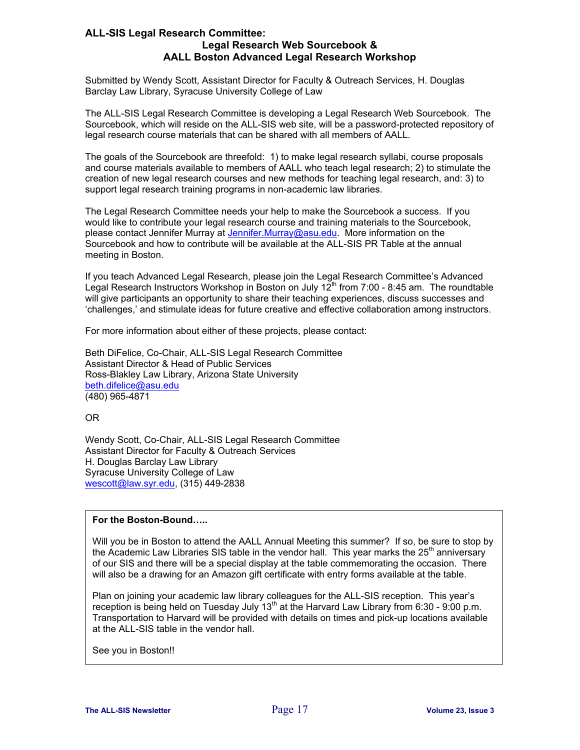#### **ALL-SIS Legal Research Committee: Legal Research Web Sourcebook & AALL Boston Advanced Legal Research Workshop**

Submitted by Wendy Scott, Assistant Director for Faculty & Outreach Services, H. Douglas Barclay Law Library, Syracuse University College of Law

The ALL-SIS Legal Research Committee is developing a Legal Research Web Sourcebook. The Sourcebook, which will reside on the ALL-SIS web site, will be a password-protected repository of legal research course materials that can be shared with all members of AALL.

The goals of the Sourcebook are threefold: 1) to make legal research syllabi, course proposals and course materials available to members of AALL who teach legal research; 2) to stimulate the creation of new legal research courses and new methods for teaching legal research, and: 3) to support legal research training programs in non-academic law libraries.

The Legal Research Committee needs your help to make the Sourcebook a success. If you would like to contribute your legal research course and training materials to the Sourcebook, please contact Jennifer Murray at [Jennifer.Murray@asu.edu.](mailto:Jennifer.Murray@asu.edu) More information on the Sourcebook and how to contribute will be available at the ALL-SIS PR Table at the annual meeting in Boston.

If you teach Advanced Legal Research, please join the Legal Research Committee's Advanced Legal Research Instructors Workshop in Boston on July  $12^{\text{th}}$  from 7:00 - 8:45 am. The roundtable will give participants an opportunity to share their teaching experiences, discuss successes and 'challenges,' and stimulate ideas for future creative and effective collaboration among instructors.

For more information about either of these projects, please contact:

Beth DiFelice, Co-Chair, ALL-SIS Legal Research Committee Assistant Director & Head of Public Services Ross-Blakley Law Library, Arizona State University [beth.difelice@asu.edu](mailto:beth.difelice@asu.edu) (480) 965-4871

OR

Wendy Scott, Co-Chair, ALL-SIS Legal Research Committee Assistant Director for Faculty & Outreach Services H. Douglas Barclay Law Library Syracuse University College of Law [wescott@law.syr.edu,](mailto:wescott@law.syr.edu) (315) 449-2838

#### **For the Boston-Bound…..**

Will you be in Boston to attend the AALL Annual Meeting this summer? If so, be sure to stop by the Academic Law Libraries SIS table in the vendor hall. This year marks the 25<sup>th</sup> anniversary of our SIS and there will be a special display at the table commemorating the occasion. There will also be a drawing for an Amazon gift certificate with entry forms available at the table.

Plan on joining your academic law library colleagues for the ALL-SIS reception. This year's reception is being held on Tuesday July  $13<sup>th</sup>$  at the Harvard Law Library from 6:30 - 9:00 p.m. Transportation to Harvard will be provided with details on times and pick-up locations available at the ALL-SIS table in the vendor hall.

See you in Boston!!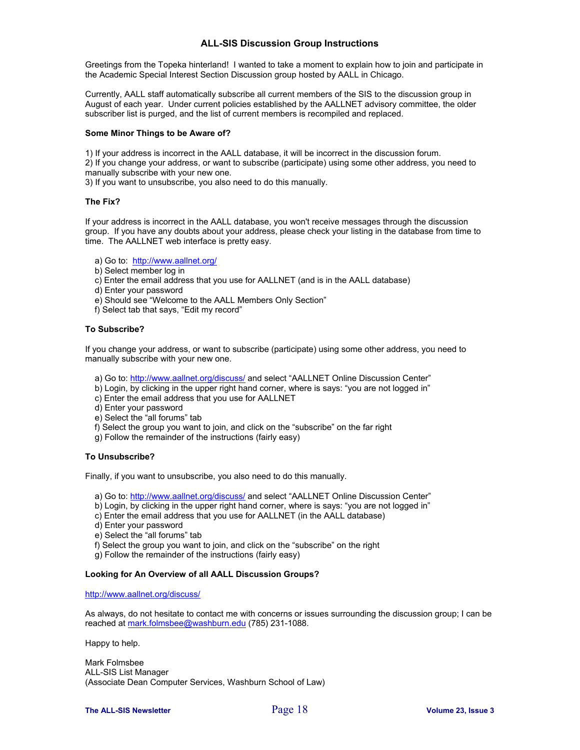#### **ALL-SIS Discussion Group Instructions**

Greetings from the Topeka hinterland! I wanted to take a moment to explain how to join and participate in the Academic Special Interest Section Discussion group hosted by AALL in Chicago.

Currently, AALL staff automatically subscribe all current members of the SIS to the discussion group in August of each year. Under current policies established by the AALLNET advisory committee, the older subscriber list is purged, and the list of current members is recompiled and replaced.

#### **Some Minor Things to be Aware of?**

1) If your address is incorrect in the AALL database, it will be incorrect in the discussion forum.

2) If you change your address, or want to subscribe (participate) using some other address, you need to manually subscribe with your new one.

3) If you want to unsubscribe, you also need to do this manually.

#### **The Fix?**

If your address is incorrect in the AALL database, you won't receive messages through the discussion group. If you have any doubts about your address, please check your listing in the database from time to time. The AALLNET web interface is pretty easy.

- a) Go to: <http://www.aallnet.org/>
- b) Select member log in
- c) Enter the email address that you use for AALLNET (and is in the AALL database)
- d) Enter your password
- e) Should see "Welcome to the AALL Members Only Section"
- f) Select tab that says, "Edit my record"

#### **To Subscribe?**

If you change your address, or want to subscribe (participate) using some other address, you need to manually subscribe with your new one.

- a) Go to: <http://www.aallnet.org/discuss/> and select "AALLNET Online Discussion Center"
- b) Login, by clicking in the upper right hand corner, where is says: "you are not logged in"
- c) Enter the email address that you use for AALLNET
- d) Enter your password
- e) Select the "all forums" tab
- f) Select the group you want to join, and click on the "subscribe" on the far right
- g) Follow the remainder of the instructions (fairly easy)

#### **To Unsubscribe?**

Finally, if you want to unsubscribe, you also need to do this manually.

- a) Go to: <http://www.aallnet.org/discuss/> and select "AALLNET Online Discussion Center"
- b) Login, by clicking in the upper right hand corner, where is says: "you are not logged in"
- c) Enter the email address that you use for AALLNET (in the AALL database)
- d) Enter your password
- e) Select the "all forums" tab
- f) Select the group you want to join, and click on the "subscribe" on the right
- g) Follow the remainder of the instructions (fairly easy)

#### **Looking for An Overview of all AALL Discussion Groups?**

#### <http://www.aallnet.org/discuss/>

As always, do not hesitate to contact me with concerns or issues surrounding the discussion group; I can be reached at [mark.folmsbee@washburn.edu](mailto:mark.folmsbee@washburn.edu) (785) 231-1088.

Happy to help.

Mark Folmsbee ALL-SIS List Manager (Associate Dean Computer Services, Washburn School of Law)